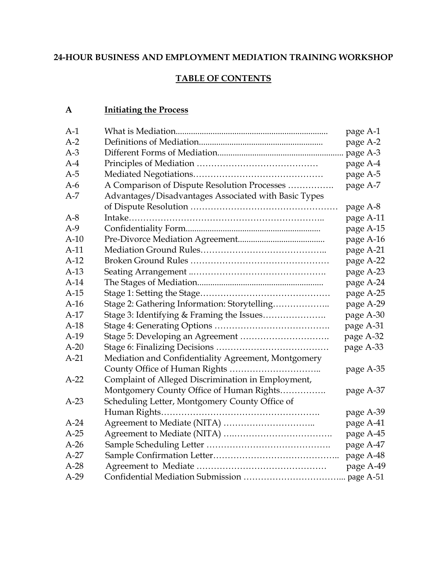#### **24-HOUR BUSINESS AND EMPLOYMENT MEDIATION TRAINING WORKSHOP**

#### **TABLE OF CONTENTS**

#### **A Initiating the Process**

| $A-2$<br>$A-3$<br>$A-4$<br>$A-5$<br>A Comparison of Dispute Resolution Processes<br>$A-6$<br>Advantages/Disadvantages Associated with Basic Types<br>$A-7$<br>$A-8$<br>$A-9$<br>$A-10$<br>$A-11$<br>$A-12$<br>$A-13$<br>$A-14$<br>$A-15$<br>Stage 2: Gathering Information: Storytelling<br>$A-16$<br>$A-17$<br>$A-18$<br>$A-19$<br>$A-20$<br>$A-21$<br>Mediation and Confidentiality Agreement, Montgomery<br>Complaint of Alleged Discrimination in Employment,<br>$A-22$<br>Montgomery County Office of Human Rights<br>Scheduling Letter, Montgomery County Office of<br>$A-23$<br>$A-24$<br>$A-25$<br>$A-26$<br>$A-27$<br>$A-28$<br>$A-29$ | $A-1$ | page A-1  |
|-------------------------------------------------------------------------------------------------------------------------------------------------------------------------------------------------------------------------------------------------------------------------------------------------------------------------------------------------------------------------------------------------------------------------------------------------------------------------------------------------------------------------------------------------------------------------------------------------------------------------------------------------|-------|-----------|
|                                                                                                                                                                                                                                                                                                                                                                                                                                                                                                                                                                                                                                                 |       | page A-2  |
|                                                                                                                                                                                                                                                                                                                                                                                                                                                                                                                                                                                                                                                 |       | page A-3  |
|                                                                                                                                                                                                                                                                                                                                                                                                                                                                                                                                                                                                                                                 |       | page A-4  |
|                                                                                                                                                                                                                                                                                                                                                                                                                                                                                                                                                                                                                                                 |       | page A-5  |
|                                                                                                                                                                                                                                                                                                                                                                                                                                                                                                                                                                                                                                                 |       | page A-7  |
|                                                                                                                                                                                                                                                                                                                                                                                                                                                                                                                                                                                                                                                 |       |           |
|                                                                                                                                                                                                                                                                                                                                                                                                                                                                                                                                                                                                                                                 |       | page A-8  |
|                                                                                                                                                                                                                                                                                                                                                                                                                                                                                                                                                                                                                                                 |       | page A-11 |
|                                                                                                                                                                                                                                                                                                                                                                                                                                                                                                                                                                                                                                                 |       | page A-15 |
|                                                                                                                                                                                                                                                                                                                                                                                                                                                                                                                                                                                                                                                 |       | page A-16 |
|                                                                                                                                                                                                                                                                                                                                                                                                                                                                                                                                                                                                                                                 |       | page A-21 |
|                                                                                                                                                                                                                                                                                                                                                                                                                                                                                                                                                                                                                                                 |       | page A-22 |
|                                                                                                                                                                                                                                                                                                                                                                                                                                                                                                                                                                                                                                                 |       | page A-23 |
|                                                                                                                                                                                                                                                                                                                                                                                                                                                                                                                                                                                                                                                 |       | page A-24 |
|                                                                                                                                                                                                                                                                                                                                                                                                                                                                                                                                                                                                                                                 |       | page A-25 |
|                                                                                                                                                                                                                                                                                                                                                                                                                                                                                                                                                                                                                                                 |       | page A-29 |
|                                                                                                                                                                                                                                                                                                                                                                                                                                                                                                                                                                                                                                                 |       | page A-30 |
|                                                                                                                                                                                                                                                                                                                                                                                                                                                                                                                                                                                                                                                 |       | page A-31 |
|                                                                                                                                                                                                                                                                                                                                                                                                                                                                                                                                                                                                                                                 |       | page A-32 |
|                                                                                                                                                                                                                                                                                                                                                                                                                                                                                                                                                                                                                                                 |       | page A-33 |
|                                                                                                                                                                                                                                                                                                                                                                                                                                                                                                                                                                                                                                                 |       |           |
|                                                                                                                                                                                                                                                                                                                                                                                                                                                                                                                                                                                                                                                 |       | page A-35 |
|                                                                                                                                                                                                                                                                                                                                                                                                                                                                                                                                                                                                                                                 |       |           |
|                                                                                                                                                                                                                                                                                                                                                                                                                                                                                                                                                                                                                                                 |       | page A-37 |
|                                                                                                                                                                                                                                                                                                                                                                                                                                                                                                                                                                                                                                                 |       |           |
|                                                                                                                                                                                                                                                                                                                                                                                                                                                                                                                                                                                                                                                 |       | page A-39 |
|                                                                                                                                                                                                                                                                                                                                                                                                                                                                                                                                                                                                                                                 |       | page A-41 |
|                                                                                                                                                                                                                                                                                                                                                                                                                                                                                                                                                                                                                                                 |       | page A-45 |
|                                                                                                                                                                                                                                                                                                                                                                                                                                                                                                                                                                                                                                                 |       | page A-47 |
|                                                                                                                                                                                                                                                                                                                                                                                                                                                                                                                                                                                                                                                 |       | page A-48 |
|                                                                                                                                                                                                                                                                                                                                                                                                                                                                                                                                                                                                                                                 |       | page A-49 |
|                                                                                                                                                                                                                                                                                                                                                                                                                                                                                                                                                                                                                                                 |       |           |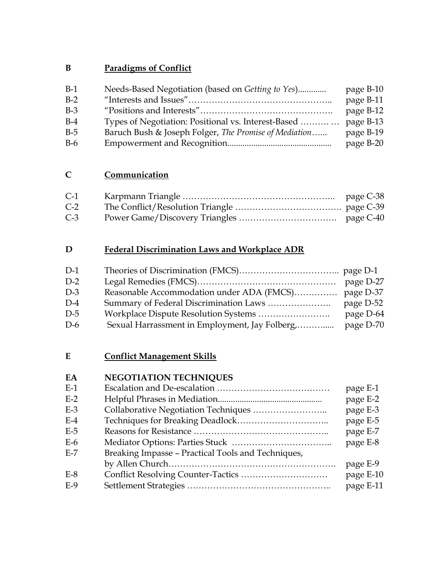### **B Paradigms of Conflict**

| Needs-Based Negotiation (based on Getting to Yes)     | page B-10 |
|-------------------------------------------------------|-----------|
|                                                       | page B-11 |
|                                                       | page B-12 |
| Types of Negotiation: Positional vs. Interest-Based   | page B-13 |
| Baruch Bush & Joseph Folger, The Promise of Mediation | page B-19 |
|                                                       | page B-20 |
|                                                       |           |

# **C Communication**

| $C-1$ | page C-38 |
|-------|-----------|
| $C-2$ |           |
| $C-3$ |           |

### **D Federal Discrimination Laws and Workplace ADR**

| $D-1$ |                                                |           |
|-------|------------------------------------------------|-----------|
| $D-2$ |                                                |           |
| $D-3$ |                                                |           |
| $D-4$ |                                                | page D-52 |
| $D-5$ |                                                | page D-64 |
| $D-6$ | Sexual Harrassment in Employment, Jay Folberg, | page D-70 |

## **E Conflict Management Skills**

## **EA NEGOTIATION TECHNIQUES**

| $E-1$ |                                                    | page E-1  |
|-------|----------------------------------------------------|-----------|
| $E-2$ |                                                    | page E-2  |
| $E-3$ |                                                    | page E-3  |
| $E-4$ |                                                    | page E-5  |
| $E-5$ |                                                    | page E-7  |
| $E-6$ |                                                    | page E-8  |
| $E-7$ | Breaking Impasse - Practical Tools and Techniques, |           |
|       |                                                    | page E-9  |
| $E-8$ |                                                    | page E-10 |
| $E-9$ |                                                    | page E-11 |
|       |                                                    |           |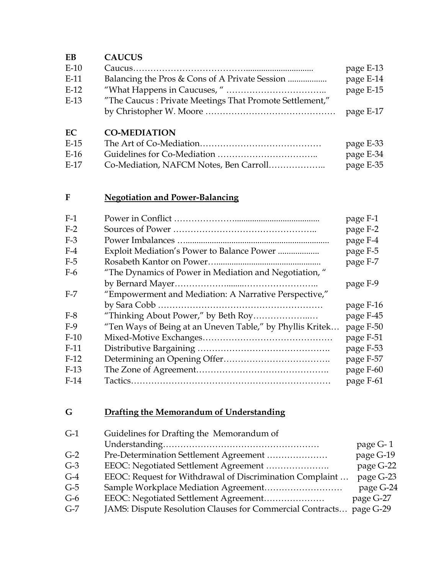### **EB CAUCUS**

| $E-10$ |                                                         | page E-13 |
|--------|---------------------------------------------------------|-----------|
| $E-11$ | Balancing the Pros & Cons of A Private Session          | page E-14 |
| $E-12$ |                                                         | page E-15 |
| $E-13$ | "The Caucus: Private Meetings That Promote Settlement," |           |
|        |                                                         | page E-17 |

### **EC CO-MEDIATION**

| E-15 | page E-33 |
|------|-----------|
| E-16 | page E-34 |
| F-17 | page E-35 |

# **F Negotiation and Power-Balancing**

| $F-1$  |                                                           | page F-1  |
|--------|-----------------------------------------------------------|-----------|
| $F-2$  |                                                           | page F-2  |
| $F-3$  |                                                           | page F-4  |
| $F-4$  | Exploit Mediation's Power to Balance Power                | page F-5  |
| $F-5$  |                                                           | page F-7  |
| $F-6$  | "The Dynamics of Power in Mediation and Negotiation,"     |           |
|        |                                                           | page F-9  |
| $F-7$  | "Empowerment and Mediation: A Narrative Perspective,"     |           |
|        |                                                           | page F-16 |
| $F-8$  | "Thinking About Power," by Beth Roy                       | page F-45 |
| $F-9$  | "Ten Ways of Being at an Uneven Table," by Phyllis Kritek | page F-50 |
| $F-10$ |                                                           | page F-51 |
| $F-11$ |                                                           | page F-53 |
| $F-12$ |                                                           | page F-57 |
| $F-13$ |                                                           | page F-60 |
| $F-14$ |                                                           | page F-61 |
|        |                                                           |           |

## **G Drafting the Memorandum of Understanding**

| $G-1$ | Guidelines for Drafting the Memorandum of                 |           |
|-------|-----------------------------------------------------------|-----------|
|       |                                                           | page G-1  |
| $G-2$ | Pre-Determination Settlement Agreement                    | page G-19 |
| $G-3$ | EEOC: Negotiated Settlement Agreement                     | page G-22 |
| $G-4$ | EEOC: Request for Withdrawal of Discrimination Complaint  | page G-23 |
| $G-5$ |                                                           | page G-24 |
| $G-6$ |                                                           | page G-27 |
| $G-7$ | JAMS: Dispute Resolution Clauses for Commercial Contracts | page G-29 |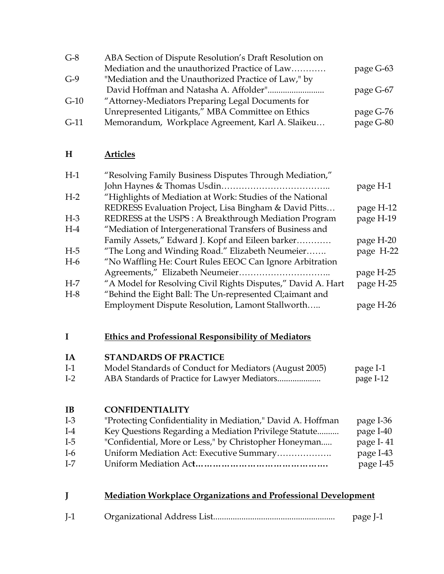| $G-8$  | ABA Section of Dispute Resolution's Draft Resolution on |           |
|--------|---------------------------------------------------------|-----------|
|        | Mediation and the unauthorized Practice of Law          | page G-63 |
| $G-9$  | "Mediation and the Unauthorized Practice of Law," by    |           |
|        |                                                         | page G-67 |
| $G-10$ | "Attorney-Mediators Preparing Legal Documents for       |           |
|        | Unrepresented Litigants," MBA Committee on Ethics       | page G-76 |
| $G-11$ | Memorandum, Workplace Agreement, Karl A. Slaikeu        | page G-80 |

#### **H Articles**

| $H-1$ | "Resolving Family Business Disputes Through Mediation,"      |           |
|-------|--------------------------------------------------------------|-----------|
|       |                                                              | page H-1  |
| $H-2$ | "Highlights of Mediation at Work: Studies of the National    |           |
|       | REDRESS Evaluation Project, Lisa Bingham & David Pitts       | page H-12 |
| $H-3$ | REDRESS at the USPS : A Breakthrough Mediation Program       | page H-19 |
| $H-4$ | "Mediation of Intergenerational Transfers of Business and    |           |
|       | Family Assets," Edward J. Kopf and Eileen barker             | page H-20 |
| $H-5$ | "The Long and Winding Road." Elizabeth Neumeier              | page H-22 |
| $H-6$ | "No Waffling He: Court Rules EEOC Can Ignore Arbitration     |           |
|       |                                                              | page H-25 |
| $H-7$ | "A Model for Resolving Civil Rights Disputes," David A. Hart | page H-25 |
| $H-8$ | "Behind the Eight Ball: The Un-represented Cl;aimant and     |           |
|       | Employment Dispute Resolution, Lamont Stallworth             | page H-26 |
|       |                                                              |           |

# **I Ethics and Professional Responsibility of Mediators**

# **IA STANDARDS OF PRACTICE**

| $I-1$ | Model Standards of Conduct for Mediators (August 2005) | page I-1  |
|-------|--------------------------------------------------------|-----------|
| $I-2$ |                                                        | page I-12 |

#### **IB CONFIDENTIALITY**

| $I-3$ | "Protecting Confidentiality in Mediation," David A. Hoffman | page I-36 |
|-------|-------------------------------------------------------------|-----------|
| $I-4$ | Key Questions Regarding a Mediation Privilege Statute       | page I-40 |
| $I-5$ | "Confidential, More or Less," by Christopher Honeyman       | page I-41 |
| $I-6$ | Uniform Mediation Act: Executive Summary                    | page I-43 |
| $I-7$ |                                                             | page I-45 |

| <b>Mediation Workplace Organizations and Professional Development</b> |  |
|-----------------------------------------------------------------------|--|
|                                                                       |  |

| L <sub>1</sub> | page I |
|----------------|--------|
|                |        |